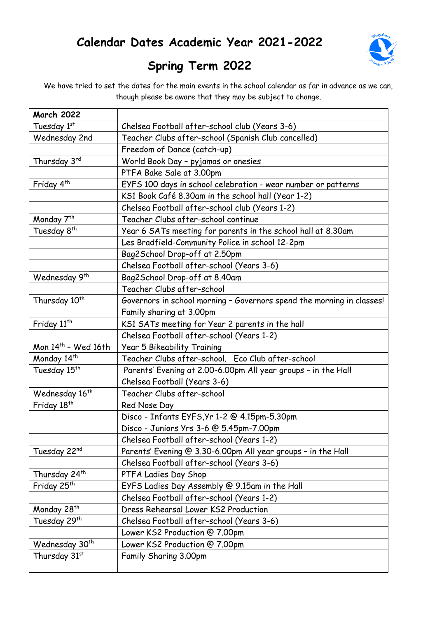

## **Spring Term 2022**

We have tried to set the dates for the main events in the school calendar as far in advance as we can, though please be aware that they may be subject to change.

| <b>March 2022</b>          |                                                                       |
|----------------------------|-----------------------------------------------------------------------|
| Tuesday 1st                | Chelsea Football after-school club (Years 3-6)                        |
| Wednesday 2nd              | Teacher Clubs after-school (Spanish Club cancelled)                   |
|                            | Freedom of Dance (catch-up)                                           |
| Thursday 3rd               | World Book Day - pyjamas or onesies                                   |
|                            | PTFA Bake Sale at 3.00pm                                              |
| Friday 4 <sup>th</sup>     | EYFS 100 days in school celebration - wear number or patterns         |
|                            | KS1 Book Café 8.30am in the school hall (Year 1-2)                    |
|                            | Chelsea Football after-school club (Years 1-2)                        |
| Monday 7 <sup>th</sup>     | Teacher Clubs after-school continue                                   |
| Tuesday 8 <sup>th</sup>    | Year 6 SATs meeting for parents in the school hall at 8.30am          |
|                            | Les Bradfield-Community Police in school 12-2pm                       |
|                            | Bag2School Drop-off at 2.50pm                                         |
|                            | Chelsea Football after-school (Years 3-6)                             |
| Wednesday 9th              | Bag2School Drop-off at 8.40am                                         |
|                            | Teacher Clubs after-school                                            |
| Thursday 10 <sup>th</sup>  | Governors in school morning - Governors spend the morning in classes! |
|                            | Family sharing at 3.00pm                                              |
| Friday 11 <sup>th</sup>    | KS1 SATs meeting for Year 2 parents in the hall                       |
|                            | Chelsea Football after-school (Years 1-2)                             |
| Mon $14^{th}$ - Wed 16th   | <b>Year 5 Bikeability Training</b>                                    |
| Monday 14th                | Teacher Clubs after-school. Eco Club after-school                     |
| Tuesday 15 <sup>th</sup>   | Parents' Evening at 2.00-6.00pm All year groups - in the Hall         |
|                            | Chelsea Football (Years 3-6)                                          |
| Wednesday 16 <sup>th</sup> | Teacher Clubs after-school                                            |
| Friday 18 <sup>th</sup>    | Red Nose Day                                                          |
|                            | Disco - Infants EYFS, Yr 1-2 @ 4.15pm-5.30pm                          |
|                            | Disco - Juniors Yrs 3-6 @ 5.45pm-7.00pm                               |
|                            | Chelsea Football after-school (Years 1-2)                             |
| Tuesday 22nd               | Parents' Evening @ 3.30-6.00pm All year groups - in the Hall          |
|                            | Chelsea Football after-school (Years 3-6)                             |
| Thursday 24 <sup>th</sup>  | PTFA Ladies Day Shop                                                  |
| Friday 25 <sup>th</sup>    | EYFS Ladies Day Assembly @ 9.15am in the Hall                         |
|                            | Chelsea Football after-school (Years 1-2)                             |
| Monday 28 <sup>th</sup>    | Dress Rehearsal Lower KS2 Production                                  |
| Tuesday 29 <sup>th</sup>   | Chelsea Football after-school (Years 3-6)                             |
|                            | Lower KS2 Production @ 7.00pm                                         |
| Wednesday 30 <sup>th</sup> | Lower KS2 Production @ 7.00pm                                         |
| Thursday 31st              | Family Sharing 3.00pm                                                 |
|                            |                                                                       |